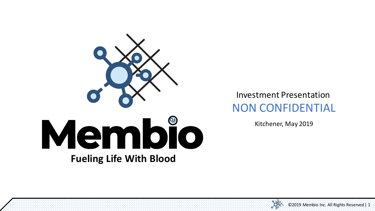

#### Investment Presentation NON CONFIDENTIAL

Kitchener, May 2019

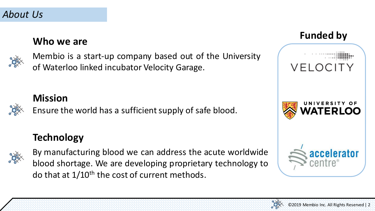## **Who we are Funded by**



Membio is a start-up company based out of the University of Waterloo linked incubator Velocity Garage.

#### **Mission**

Ensure the world has a sufficient supply of safe blood.

#### **Technology**



By manufacturing blood we can address the acute worldwide blood shortage. We are developing proprietary technology to do that at  $1/10^{th}$  the cost of current methods.



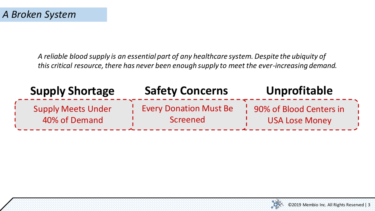*A reliable blood supply is an essential part of any healthcare system. Despite the ubiquity of this critical resource, there has never been enough supply to meet the ever-increasing demand.* 

| <b>Supply Shortage</b>    | <b>Safety Concerns</b>        | <b>Unprofitable</b>     |
|---------------------------|-------------------------------|-------------------------|
| <b>Supply Meets Under</b> | <b>Every Donation Must Be</b> | 90% of Blood Centers in |
| 40% of Demand             | Screened                      | <b>USA Lose Money</b>   |

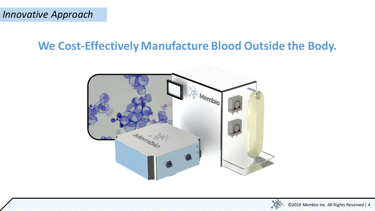### **We Cost-Effectively Manufacture Blood Outside the Body.**



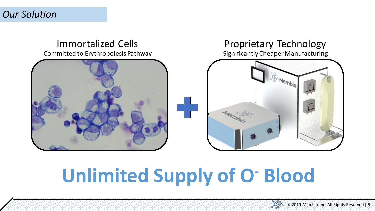#### Immortalized Cells Committed to Erythropoiesis Pathway



#### Significantly Cheaper Manufacturing Proprietary Technology



## **Unlimited Supply of O- Blood**

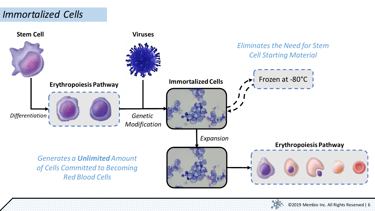#### *Immortalized Cells*



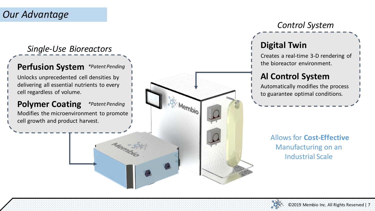#### *Our Advantage*

#### *Single-Use Bioreactors*

#### **Perfusion System** *\*Patent Pending*

Unlocks unprecedented cell densities by delivering all essential nutrients to every cell regardless of volume.

#### **Polymer Coating** *\*Patent Pending*

Modifies the microenvironment to promote cell growth and product harvest.

*Control System*

#### **Digital Twin**

Creates a real-time 3-D rendering of the bioreactor environment.

#### **Al Control System**

Automatically modifies the process to guarantee optimal conditions.

> Allows for **Cost-Effective**  Manufacturing on an Industrial Scale



Membio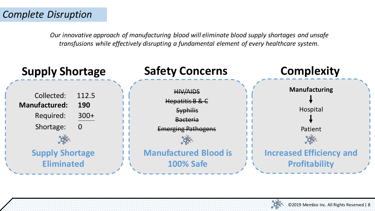*Our innovative approach of manufacturing blood will eliminate blood supply shortages and unsafe transfusions while effectively disrupting a fundamental element of every healthcare system.*



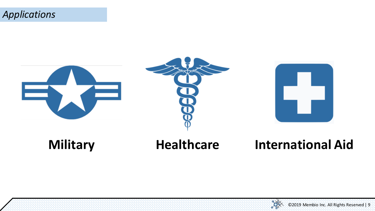







## **Military Healthcare International Aid**

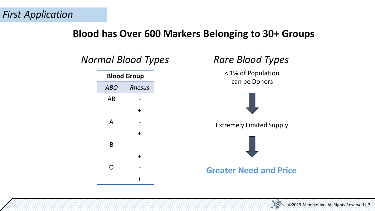#### **Blood has Over 600 Markers Belonging to 30+ Groups**



# < 1% of Population can be Donors Extremely Limited Supply **Greater Need and Price**

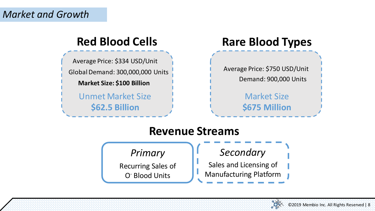Average Price: \$334 USD/Unit Global Demand: 300,000,000 Units **Market Size: \$100 Billion**

> Unmet Market Size **\$62.5 Billion**

#### **Red Blood Cells Rare Blood Types**

Average Price: \$750 USD/Unit Demand: 900,000 Units

> Market Size **\$675 Million**

#### **Revenue Streams**

*Primary* Recurring Sales of O- Blood Units

#### *Secondary*

Sales and Licensing of Manufacturing Platform

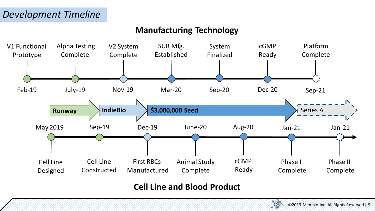#### **Manufacturing Technology**



#### **Cell Line and Blood Product**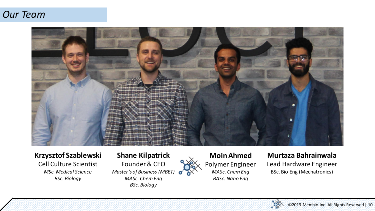#### *Our Team*



#### **Krzysztof Szablewski**

Cell Culture Scientist *MSc. Medical Science BSc. Biology*

#### **Shane Kilpatrick**

Founder & CEO *Master's of Business (MBET) MASc. Chem Eng BSc. Biology*



#### **Murtaza Bahrainwala** Lead Hardware Engineer BSc. Bio Eng (Mechatronics)

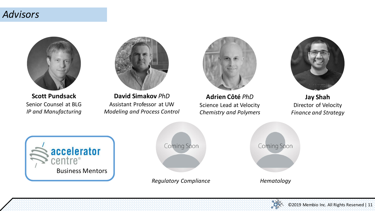#### *Advisors*



**Scott Pundsack** Senior Counsel at BLG *IP and Manufacturing*



**David Simakov** *PhD* Assistant Professor at UW *Modeling and Process Control*



**Adrien Côté** *PhD* Science Lead at Velocity *Chemistry and Polymers*



**Jay Shah** Director of Velocity *Finance and Strategy*





*Regulatory Compliance Hematology*